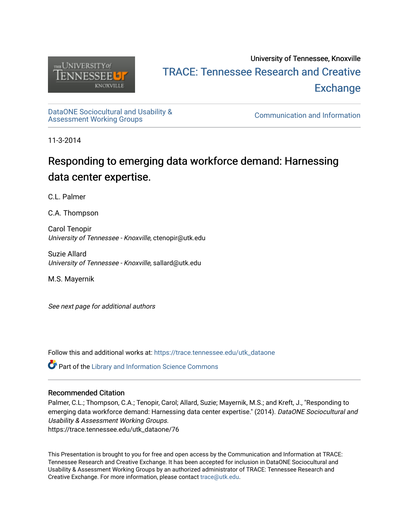

# University of Tennessee, Knoxville TRACE: T[ennessee Research and Cr](https://trace.tennessee.edu/)eative **Exchange**

[DataONE Sociocultural and Usability &](https://trace.tennessee.edu/utk_dataone)  DataONE Sociocultural and Osability & Communication and Information<br>Assessment Working Groups

11-3-2014

# Responding to emerging data workforce demand: Harnessing data center expertise.

C.L. Palmer

C.A. Thompson

Carol Tenopir University of Tennessee - Knoxville, ctenopir@utk.edu

Suzie Allard University of Tennessee - Knoxville, sallard@utk.edu

M.S. Mayernik

See next page for additional authors

Follow this and additional works at: [https://trace.tennessee.edu/utk\\_dataone](https://trace.tennessee.edu/utk_dataone?utm_source=trace.tennessee.edu%2Futk_dataone%2F76&utm_medium=PDF&utm_campaign=PDFCoverPages) 

**Part of the Library and Information Science Commons** 

# Recommended Citation

Palmer, C.L.; Thompson, C.A.; Tenopir, Carol; Allard, Suzie; Mayernik, M.S.; and Kreft, J., "Responding to emerging data workforce demand: Harnessing data center expertise." (2014). DataONE Sociocultural and Usability & Assessment Working Groups. https://trace.tennessee.edu/utk\_dataone/76

This Presentation is brought to you for free and open access by the Communication and Information at TRACE: Tennessee Research and Creative Exchange. It has been accepted for inclusion in DataONE Sociocultural and Usability & Assessment Working Groups by an authorized administrator of TRACE: Tennessee Research and Creative Exchange. For more information, please contact [trace@utk.edu](mailto:trace@utk.edu).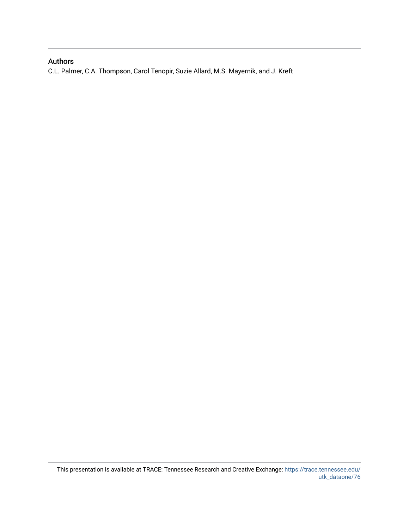# Authors

C.L. Palmer, C.A. Thompson, Carol Tenopir, Suzie Allard, M.S. Mayernik, and J. Kreft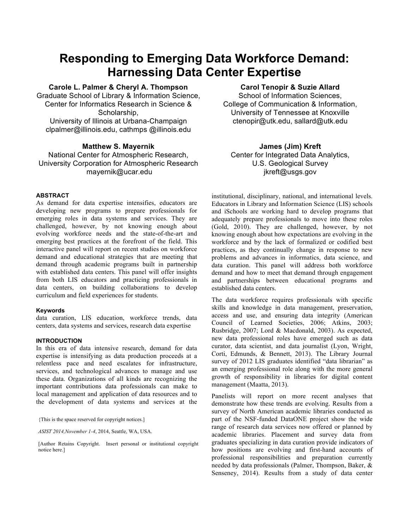# **Responding to Emerging Data Workforce Demand: Harnessing Data Center Expertise**

# **Carole L. Palmer & Cheryl A. Thompson**

Graduate School of Library & Information Science, Center for Informatics Research in Science & Scholarship, University of Illinois at Urbana-Champaign clpalmer@illinois.edu, cathmps @illinois.edu

# **Matthew S. Mayernik**

National Center for Atmospheric Research, University Corporation for Atmospheric Research mayernik@ucar.edu

# **ABSTRACT**

As demand for data expertise intensifies, educators are developing new programs to prepare professionals for emerging roles in data systems and services. They are challenged, however, by not knowing enough about evolving workforce needs and the state-of-the-art and emerging best practices at the forefront of the field. This interactive panel will report on recent studies on workforce demand and educational strategies that are meeting that demand through academic programs built in partnership with established data centers. This panel will offer insights from both LIS educators and practicing professionals in data centers, on building collaborations to develop curriculum and field experiences for students.

# **Keywords**

data curation, LIS education, workforce trends, data centers, data systems and services, research data expertise

# **INTRODUCTION**

In this era of data intensive research, demand for data expertise is intensifying as data production proceeds at a relentless pace and need escalates for infrastructure, services, and technological advances to manage and use these data. Organizations of all kinds are recognizing the important contributions data professionals can make to local management and application of data resources and to the development of data systems and services at the

{This is the space reserved for copyright notices.]

*ASIST 2014,November 1-4*, 2014, Seattle, WA, USA.

[Author Retains Copyright. Insert personal or institutional copyright notice here.]

# **Carol Tenopir & Suzie Allard**

School of Information Sciences, College of Communication & Information, University of Tennessee at Knoxville ctenopir@utk.edu, sallard@utk.edu

**James (Jim) Kreft** Center for Integrated Data Analytics, U.S. Geological Survey jkreft@usgs.gov

institutional, disciplinary, national, and international levels. Educators in Library and Information Science (LIS) schools and iSchools are working hard to develop programs that adequately prepare professionals to move into these roles (Gold, 2010). They are challenged, however, by not knowing enough about how expectations are evolving in the workforce and by the lack of formalized or codified best practices, as they continually change in response to new problems and advances in informatics, data science, and data curation. This panel will address both workforce demand and how to meet that demand through engagement and partnerships between educational programs and established data centers.

The data workforce requires professionals with specific skills and knowledge in data management, preservation, access and use, and ensuring data integrity (American Council of Learned Societies, 2006; Atkins, 2003; Rusbridge, 2007; Lord & Macdonald, 2003). As expected, new data professional roles have emerged such as data curator, data scientist, and data journalist (Lyon, Wright, Corti, Edmunds, & Bennett, 2013). The Library Journal survey of 2012 LIS graduates identified "data librarian" as an emerging professional role along with the more general growth of responsibility in libraries for digital content management (Maatta, 2013).

Panelists will report on more recent analyses that demonstrate how these trends are evolving. Results from a survey of North American academic libraries conducted as part of the NSF-funded DataONE project show the wide range of research data services now offered or planned by academic libraries. Placement and survey data from graduates specializing in data curation provide indicators of how positions are evolving and first-hand accounts of professional responsibilities and preparation currently needed by data professionals (Palmer, Thompson, Baker, & Senseney, 2014). Results from a study of data center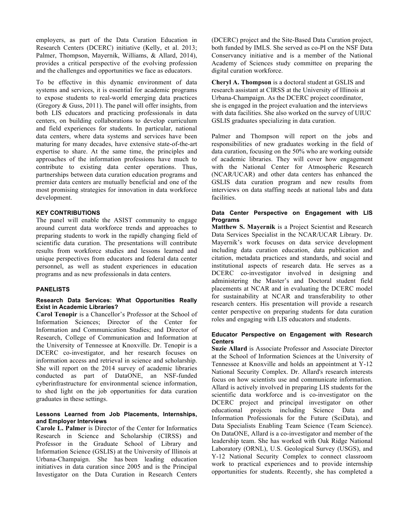employers, as part of the Data Curation Education in Research Centers (DCERC) initiative (Kelly, et al. 2013; Palmer, Thompson, Mayernik, Williams, & Allard, 2014), provides a critical perspective of the evolving profession and the challenges and opportunities we face as educators.

To be effective in this dynamic environment of data systems and services, it is essential for academic programs to expose students to real-world emerging data practices (Gregory & Guss, 2011). The panel will offer insights, from both LIS educators and practicing professionals in data centers, on building collaborations to develop curriculum and field experiences for students. In particular, national data centers, where data systems and services have been maturing for many decades, have extensive state-of-the-art expertise to share. At the same time, the principles and approaches of the information professions have much to contribute to existing data center operations. Thus, partnerships between data curation education programs and premier data centers are mutually beneficial and one of the most promising strategies for innovation in data workforce development.

# **KEY CONTRIBUTIONS**

The panel will enable the ASIST community to engage around current data workforce trends and approaches to preparing students to work in the rapidly changing field of scientific data curation. The presentations will contribute results from workforce studies and lessons learned and unique perspectives from educators and federal data center personnel, as well as student experiences in education programs and as new professionals in data centers.

#### **PANELISTS**

#### **Research Data Services: What Opportunities Really Exist in Academic Libraries?**

**Carol Tenopir** is a Chancellor's Professor at the School of Information Sciences; Director of the Center for Information and Communication Studies; and Director of Research, College of Communication and Information at the University of Tennessee at Knoxville. Dr. Tenopir is a DCERC co-investigator, and her research focuses on information access and retrieval in science and scholarship. She will report on the 2014 survey of academic libraries conducted as part of DataONE, an NSF-funded cyberinfrastructure for environmental science information, to shed light on the job opportunities for data curation graduates in these settings.

#### **Lessons Learned from Job Placements, Internships, and Employer Interviews**

**Carole L. Palmer** is Director of the Center for Informatics Research in Science and Scholarship (CIRSS) and Professor in the Graduate School of Library and Information Science (GSLIS) at the University of Illinois at Urbana-Champaign. She has been leading education initiatives in data curation since 2005 and is the Principal Investigator on the Data Curation in Research Centers

(DCERC) project and the Site-Based Data Curation project, both funded by IMLS. She served as co-PI on the NSF Data Conservancy initiative and is a member of the National Academy of Sciences study committee on preparing the digital curation workforce.

**Cheryl A. Thompson** is a doctoral student at GSLIS and research assistant at CIRSS at the University of Illinois at Urbana-Champaign. As the DCERC project coordinator, she is engaged in the project evaluation and the interviews with data facilities. She also worked on the survey of UIUC GSLIS graduates specializing in data curation.

Palmer and Thompson will report on the jobs and responsibilities of new graduates working in the field of data curation, focusing on the 50% who are working outside of academic libraries. They will cover how engagement with the National Center for Atmospheric Research (NCAR/UCAR) and other data centers has enhanced the GSLIS data curation program and new results from interviews on data staffing needs at national labs and data facilities.

# **Data Center Perspective on Engagement with LIS Programs**

**Matthew S. Mayernik** is a Project Scientist and Research Data Services Specialist in the NCAR/UCAR Library. Dr. Mayernik's work focuses on data service development including data curation education, data publication and citation, metadata practices and standards, and social and institutional aspects of research data. He serves as a DCERC co-investigator involved in designing and administering the Master's and Doctoral student field placements at NCAR and in evaluating the DCERC model for sustainability at NCAR and transferability to other research centers. His presentation will provide a research center perspective on preparing students for data curation roles and engaging with LIS educators and students.

# **Educator Perspective on Engagement with Research Centers**

**Suzie Allard** is Associate Professor and Associate Director at the School of Information Sciences at the University of Tennessee at Knoxville and holds an appointment at Y-12 National Security Complex. Dr. Allard's research interests focus on how scientists use and communicate information. Allard is actively involved in preparing LIS students for the scientific data workforce and is co-investigator on the DCERC project and principal investigator on other educational projects including Science Data and Information Professionals for the Future (SciData), and Data Specialists Enabling Team Science (Team Science). On DataONE, Allard is a co-investigator and member of the leadership team. She has worked with Oak Ridge National Laboratory (ORNL), U.S. Geological Survey (USGS), and Y-12 National Security Complex to connect classroom work to practical experiences and to provide internship opportunities for students. Recently, she has completed a